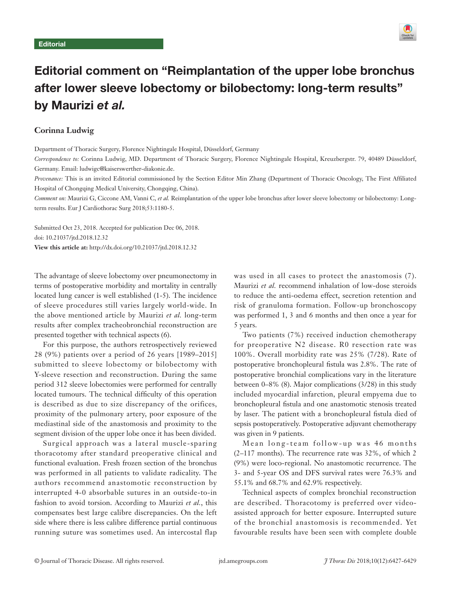

# Editorial comment on "Reimplantation of the upper lobe bronchus after lower sleeve lobectomy or bilobectomy: long-term results" by Maurizi et al.

# **Corinna Ludwig**

Department of Thoracic Surgery, Florence Nightingale Hospital, Düsseldorf, Germany

*Correspondence to:* Corinna Ludwig, MD. Department of Thoracic Surgery, Florence Nightingale Hospital, Kreuzbergstr. 79, 40489 Düsseldorf, Germany. Email: ludwigc@kaiserswerther-diakonie.de.

*Provenance:* This is an invited Editorial commissioned by the Section Editor Min Zhang (Department of Thoracic Oncology, The First Affiliated Hospital of Chongqing Medical University, Chongqing, China).

*Comment on:* Maurizi G, Ciccone AM, Vanni C, *et al.* Reimplantation of the upper lobe bronchus after lower sleeve lobectomy or bilobectomy: Longterm results. Eur J Cardiothorac Surg 2018;53:1180-5.

Submitted Oct 23, 2018. Accepted for publication Dec 06, 2018. doi: 10.21037/jtd.2018.12.32 **View this article at:** http://dx.doi.org/10.21037/jtd.2018.12.32

The advantage of sleeve lobectomy over pneumonectomy in terms of postoperative morbidity and mortality in centrally located lung cancer is well established (1-5). The incidence of sleeve procedures still varies largely world-wide. In the above mentioned article by Maurizi *et al.* long-term results after complex tracheobronchial reconstruction are presented together with technical aspects (6).

For this purpose, the authors retrospectively reviewed 28 (9%) patients over a period of 26 years [1989–2015] submitted to sleeve lobectomy or bilobectomy with Y-sleeve resection and reconstruction. During the same period 312 sleeve lobectomies were performed for centrally located tumours. The technical difficulty of this operation is described as due to size discrepancy of the orifices, proximity of the pulmonary artery, poor exposure of the mediastinal side of the anastomosis and proximity to the segment division of the upper lobe once it has been divided.

Surgical approach was a lateral muscle-sparing thoracotomy after standard preoperative clinical and functional evaluation. Fresh frozen section of the bronchus was performed in all patients to validate radicality. The authors recommend anastomotic reconstruction by interrupted 4-0 absorbable sutures in an outside-to-in fashion to avoid torsion. According to Maurizi *et al.*, this compensates best large calibre discrepancies. On the left side where there is less calibre difference partial continuous running suture was sometimes used. An intercostal flap was used in all cases to protect the anastomosis (7). Maurizi *et al.* recommend inhalation of low-dose steroids to reduce the anti-oedema effect, secretion retention and risk of granuloma formation. Follow-up bronchoscopy was performed 1, 3 and 6 months and then once a year for 5 years.

Two patients (7%) received induction chemotherapy for preoperative N2 disease. R0 resection rate was 100%. Overall morbidity rate was 25% (7/28). Rate of postoperative bronchopleural fistula was 2.8%. The rate of postoperative bronchial complications vary in the literature between 0–8% (8). Major complications (3/28) in this study included myocardial infarction, pleural empyema due to bronchopleural fistula and one anastomotic stenosis treated by laser. The patient with a bronchopleural fistula died of sepsis postoperatively. Postoperative adjuvant chemotherapy was given in 9 patients.

Mean long-team follow-up was 46 months (2–117 months). The recurrence rate was 32%, of which 2 (9%) were loco-regional. No anastomotic recurrence. The 3- and 5-year OS and DFS survival rates were 76.3% and 55.1% and 68.7% and 62.9% respectively.

Technical aspects of complex bronchial reconstruction are described. Thoracotomy is preferred over videoassisted approach for better exposure. Interrupted suture of the bronchial anastomosis is recommended. Yet favourable results have been seen with complete double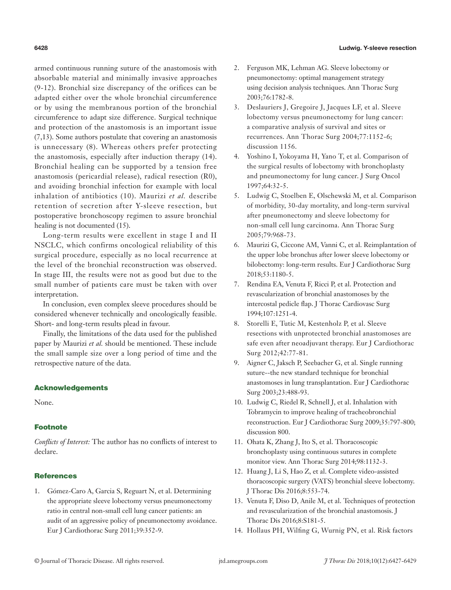armed continuous running suture of the anastomosis with absorbable material and minimally invasive approaches (9-12). Bronchial size discrepancy of the orifices can be adapted either over the whole bronchial circumference or by using the membranous portion of the bronchial circumference to adapt size difference. Surgical technique and protection of the anastomosis is an important issue (7,13). Some authors postulate that covering an anastomosis is unnecessary (8). Whereas others prefer protecting the anastomosis, especially after induction therapy (14). Bronchial healing can be supported by a tension free anastomosis (pericardial release), radical resection (R0), and avoiding bronchial infection for example with local inhalation of antibiotics (10). Maurizi *et al.* describe retention of secretion after Y-sleeve resection, but postoperative bronchoscopy regimen to assure bronchial healing is not documented (15).

Long-term results were excellent in stage I and II NSCLC, which confirms oncological reliability of this surgical procedure, especially as no local recurrence at the level of the bronchial reconstruction was observed. In stage III, the results were not as good but due to the small number of patients care must be taken with over interpretation.

In conclusion, even complex sleeve procedures should be considered whenever technically and oncologically feasible. Short- and long-term results plead in favour.

Finally, the limitations of the data used for the published paper by Maurizi *et al.* should be mentioned. These include the small sample size over a long period of time and the retrospective nature of the data.

## Acknowledgements

None.

#### **Footnote**

*Conflicts of Interest:* The author has no conflicts of interest to declare.

## **References**

1. Gómez-Caro A, Garcia S, Reguart N, et al. Determining the appropriate sleeve lobectomy versus pneumonectomy ratio in central non-small cell lung cancer patients: an audit of an aggressive policy of pneumonectomy avoidance. Eur J Cardiothorac Surg 2011;39:352-9.

- 2. Ferguson MK, Lehman AG. Sleeve lobectomy or pneumonectomy: optimal management strategy using decision analysis techniques. Ann Thorac Surg 2003;76:1782-8.
- 3. Deslauriers J, Gregoire J, Jacques LF, et al. Sleeve lobectomy versus pneumonectomy for lung cancer: a comparative analysis of survival and sites or recurrences. Ann Thorac Surg 2004;77:1152-6; discussion 1156.
- 4. Yoshino I, Yokoyama H, Yano T, et al. Comparison of the surgical results of lobectomy with bronchoplasty and pneumonectomy for lung cancer. J Surg Oncol 1997;64:32-5.
- 5. Ludwig C, Stoelben E, Olschewski M, et al. Comparison of morbidity, 30-day mortality, and long-term survival after pneumonectomy and sleeve lobectomy for non-small cell lung carcinoma. Ann Thorac Surg 2005;79:968-73.
- 6. Maurizi G, Ciccone AM, Vanni C, et al. Reimplantation of the upper lobe bronchus after lower sleeve lobectomy or bilobectomy: long-term results. Eur J Cardiothorac Surg 2018;53:1180-5.
- 7. Rendina EA, Venuta F, Ricci P, et al. Protection and revascularization of bronchial anastomoses by the intercostal pedicle flap. J Thorac Cardiovasc Surg 1994;107:1251-4.
- 8. Storelli E, Tutic M, Kestenholz P, et al. Sleeve resections with unprotected bronchial anastomoses are safe even after neoadjuvant therapy. Eur J Cardiothorac Surg 2012;42:77-81.
- 9. Aigner C, Jaksch P, Seebacher G, et al. Single running suture--the new standard technique for bronchial anastomoses in lung transplantation. Eur J Cardiothorac Surg 2003;23:488-93.
- 10. Ludwig C, Riedel R, Schnell J, et al. Inhalation with Tobramycin to improve healing of tracheobronchial reconstruction. Eur J Cardiothorac Surg 2009;35:797-800; discussion 800.
- 11. Ohata K, Zhang J, Ito S, et al. Thoracoscopic bronchoplasty using continuous sutures in complete monitor view. Ann Thorac Surg 2014;98:1132-3.
- 12. Huang J, Li S, Hao Z, et al. Complete video-assisted thoracoscopic surgery (VATS) bronchial sleeve lobectomy. J Thorac Dis 2016;8:553-74.
- 13. Venuta F, Diso D, Anile M, et al. Techniques of protection and revascularization of the bronchial anastomosis. J Thorac Dis 2016;8:S181-5.
- 14. Hollaus PH, Wilfing G, Wurnig PN, et al. Risk factors